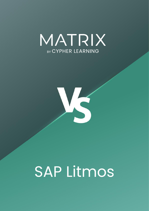



# SAP Litmos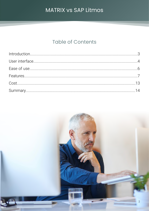# MATRIX VS SAP Litmos

## **Table of Contents**

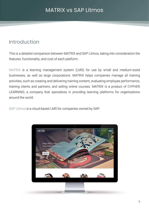## <span id="page-2-0"></span>Introduction

This is a detailed comparison between MATRIX and SAP Litmos, taking into consideration the features, functionality, and cost of each platform.

MATRIX is a learning management system (LMS) for use by small and medium-sized businesses, as well as large corporations. MATRIX helps companies manage all training activities, such as creating and delivering training content, evaluating employee performance, training clients and partners, and selling online courses. MATRIX is a product of CYPHER LEARNING, a company that specializes in providing learning platforms for organizations around the world.

SAP Litmos is a cloud-based LMS for companies owned by SAP.

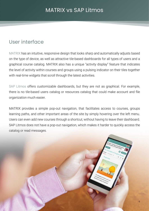## <span id="page-3-0"></span>User interface

MATRIX has an intuitive, responsive design that looks sharp and automatically adjusts based on the type of device, as well as attractive tile-based dashboards for all types of users and a graphical course catalog. MATRIX also has a unique "activity display" feature that indicates the level of activity within courses and groups using a pulsing indicator on their tiles together with real-time widgets that scroll through the latest activities.

SAP Litmos offers customizable dashboards, but they are not as graphical. For example, there is no tile-based users catalog or resources catalog that could make account and file organization much easier.

MATRIX provides a simple pop-out navigation, that facilitates access to courses, groups learning paths, and other important areas of the site by simply hovering over the left menu. Users can even add new courses through a shortcut, without having to leave their dashboard. SAP Litmos does not have a pop-out navigation, which makes it harder to quickly access the catalog or read messages.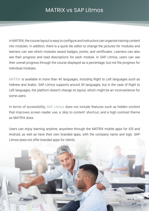In MATRIX, the course layout is easy to configure and instructors can organize training content into modules. In addition, there is a quick tile editor to change the pictures for modules and learners can see which modules award badges, points, and certificates. Learners can also see their progress and read descriptions for each module. In SAP Litmos, users can see their overall progress through the course displayed as a percentage, but not the progress for individual modules.

MATRIX is available in more than 40 languages, including Right to Left languages such as Hebrew and Arabic. SAP Litmos supports around 30 languages, but in the case of Right to Left languages, the platform doesn't change its layout, which might be an inconvenience for some users.

In terms of accessibility, SAP Litmos does not include features such as hidden content that improves screen reader use, a 'skip to content' shortcut, and a high contrast theme as MATRIX does.

Users can enjoy learning anytime, anywhere through the MATRIX mobile apps for iOS and Android, as well as have their own branded apps, with the company name and logo. SAP Litmos does not offer branded apps for clients.

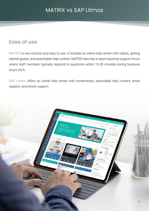## <span id="page-5-0"></span>Ease of use

MATRIX is very intuitive and easy to use. It includes an online help center with videos, getting started guides, and searchable help content. MATRIX also has a rapid response support forum where staff members typically respond to questions within 15-30 minutes during business hours 24/5.

SAP Litmos offers an online help center with screenshots, searchable help content, email support, and phone support.

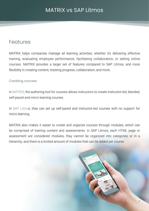## <span id="page-6-0"></span>Features

MATRIX helps companies manage all learning activities, whether it's delivering effective training, evaluating employee performance, facilitating collaboration, or selling online courses. MATRIX provides a larger set of features compared to SAP Litmos, and more flexibility in creating content, tracking progress, collaboration, and more.

#### Creating courses

In MATRIX, the authoring tool for courses allows instructors to create instructor-led, blended, self-paced and micro learning courses.

In SAP Litmos, they can set up self-paced and instructor-led courses with no support for micro learning.

MATRIX also makes it easier to create and organize courses through modules, which can be comprised of training content and assessments. In SAP Litmos, each HTML page or assessment are considered modules, they cannot be organized into categories or in a hierarchy, and there is a limited amount of modules that can be added per course.

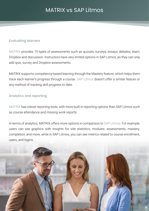#### Evaluating learners

MATRIX provides 15 types of assessments such as quizzes, surveys, essays, debates, team, Dropbox and discussion. Instructors have very limited options in SAP Litmos, as they can only add quiz, survey and Dropbox assessments.

MATRIX supports competency-based learning through the Mastery feature, which helps them track each learner's progress through a course. SAP Litmos doesn't offer a similar feature or any method of tracking skill progress to date.

#### Analytics and reporting

MATRIX has robust reporting tools, with more built-in reporting options than SAP Litmos such as course attendance and missing work reports.

In terms of analytics, MATRIX offers more options in comparison to SAP Litmos. For example, users can see graphics with insights for site statistics, modules, assessments, mastery, completion, and more, while in SAP Litmos, you can see metrics related to course enrollment, users, and logins.

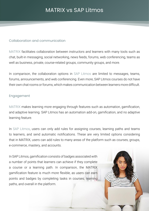#### Collaboration and communication

MATRIX facilitates collaboration between instructors and learners with many tools such as chat, built-in messaging, social networking, news feeds, forums, web conferencing, teams as well as business, private, course-related groups, community groups, and more.

In comparison, the collaboration options in SAP Litmos are limited to messages, teams, forums, announcements, and web conferencing. Even more, SAP Litmos courses do not have their own chat rooms or forums, which makes communication between learners more difficult.

#### Engagement

MATRIX makes learning more engaging through features such as automation, gamification, and adaptive learning. SAP Litmos has an automation add-on, gamification, and no adaptive learning feature.

In SAP Litmos, users can only add rules for assigning courses, learning paths and teams to learners, and send automatic notifications. These are very limited options considering that in MATRIX, users can add rules to many areas of the platform such as courses, groups, e-commerce, mastery, and accounts.

9

In SAP Litmos, gamification consists of badges associated with a number of points that learners can achieve if they complete a course or a learning path. In comparison, the MATRIX gamification feature is much more flexible, as users can earn points and badges by completing tasks in courses, learning paths, and overall in the platform.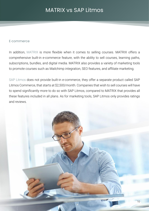#### E-commerce

In addition, MATRIX is more flexible when it comes to selling courses. MATRIX offers a comprehensive built-in e-commerce feature, with the ability to sell courses, learning paths, subscriptions, bundles, and digital media. MATRIX also provides a variety of marketing tools to promote courses such as Mailchimp integration, SEO features, and affiliate marketing.

SAP Litmos does not provide built-in e-commerce, they offer a separate product called SAP Litmos Commerce, that starts at \$2,500/month. Companies that wish to sell courses will have to spend significantly more to do so with SAP Litmos, compared to MATRIX that provides all these features included in all plans. As for marketing tools, SAP Litmos only provides ratings and reviews.

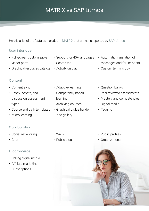Here is a list of the features included in MATRIX that are not supported by SAP Litmos:

#### User interface

- Full-screen customizable visitor portal
- Graphical resources catalog
- Support for 40+ languages
- Scores tab
- Activity display
- Automatic translation of messages and forum posts
- Custom terminology

- **Content**
- Content sync
- Essay, debate, and discussion assessment types
- Course and path templates
- Micro learning
- Adaptive learning
- Competency-based learning
- Archiving courses
- Graphical badge builder and gallery
- Question banks
- Peer reviewed assessments
- Mastery and competencies
- Digital media
- Tagging

#### Collaboration

- Social networking
- Chat

#### E-commerce

- Selling digital media
- Affiliate marketing
- Subscriptions
- Wikis
- Public blog
- Public profiles
- Organizations

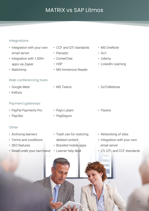#### Integrations

- Integration with your own email server
- Integration with 1,500+ apps via Zapier
- Mailchimp

#### Web conferencing tools

- Google Meet
- Kaltura

#### Payment gateways

- PayPal Payments Pro
- PayUbiz

#### **Other**

- Archiving learners
- Terms and conditions
- SEO features
- Resell under your own brand
- CCF and QTI standards
- Panopto
- CometChat
- H5P
- MS Immersive Reader
- MS Teams

• PayU Latam

• PagSeguro

• Trash can for restoring

• Branded mobile apps

deleted content

• Learner help desk

- MS OneNote
- Go1
- Udemy
- LinkedIn Learning
- GoToWebinar
- Flywire
- Networking of sites
- Integration with your own email server
- LTI, QTI, and CCF standards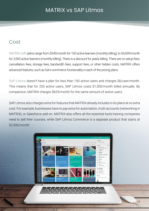## <span id="page-12-0"></span>Cost

MATRIX LMS plans range from \$549/month for 100 active learners (monthly billing), to \$4,699/month for 3,500 active learners (monthly billing). There is a discount for yearly billing. There are no setup fees, cancellation fees, storage fees, bandwidth fees, support fees, or other hidden costs. MATRIX offers advanced features, such as full e-commerce functionality in each of the pricing plans.

SAP Litmos doesn't have a plan for less than 150 active users and charges \$6/user/month. This means that for 250 active users, SAP Litmos costs \$1,500/month billed annually. By comparison, MATRIX charges \$629/month for the same amount of active users.

SAP Litmos also charges extra for features that MATRIX already includes in its plans at no extra cost. For example, businesses have to pay extra for automation, multi-accounts (networking in MATRIX), or Salesforce add-on. MATRIX also offers all the essential tools training companies need to sell their courses, while SAP Litmos Commerce is a separate product that starts at \$2,500/month.